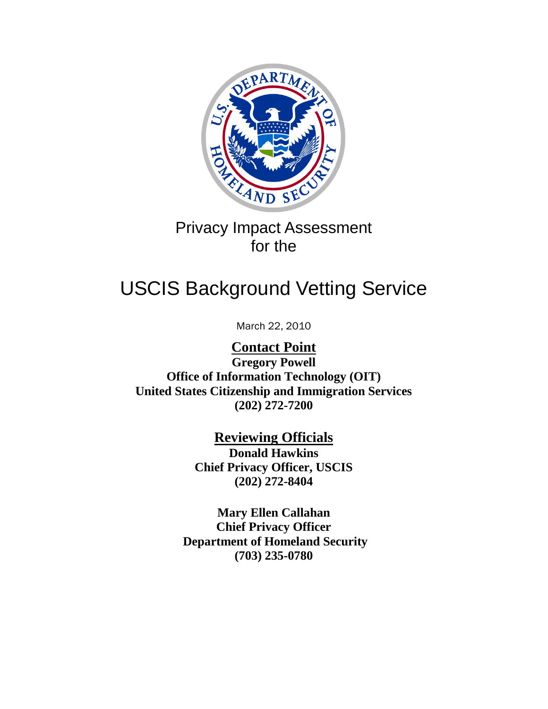

# Privacy Impact Assessment for the

# USCIS Background Vetting Service

March 22, 2010

**Contact Point Gregory Powell Office of Information Technology (OIT) United States Citizenship and Immigration Services (202) 272-7200**

> **Reviewing Officials Donald Hawkins Chief Privacy Officer, USCIS (202) 272-8404**

**Department of Homeland Security (703) 235-0780 Mary Ellen Callahan Chief Privacy Officer**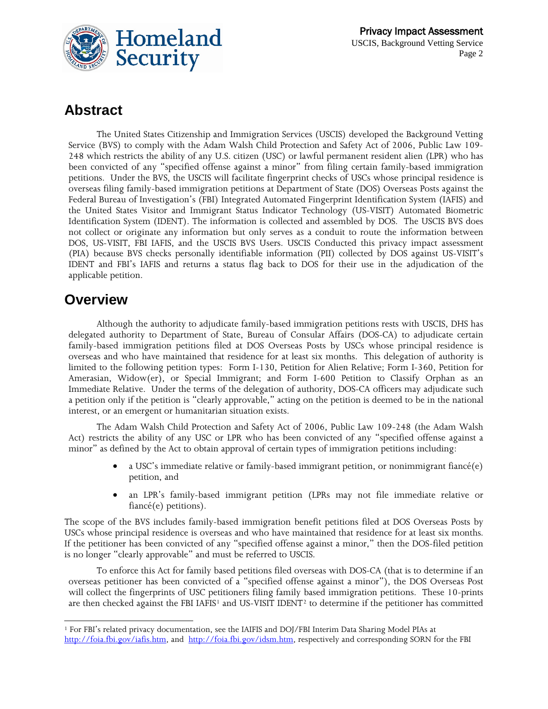

# **Abstract**

The United States Citizenship and Immigration Services (USCIS) developed the Background Vetting Service (BVS) to comply with the Adam Walsh Child Protection and Safety Act of 2006, Public Law 109- 248 which restricts the ability of any U.S. citizen (USC) or lawful permanent resident alien (LPR) who has been convicted of any "specified offense against a minor" from filing certain family-based immigration petitions. Under the BVS, the USCIS will facilitate fingerprint checks of USCs whose principal residence is overseas filing family-based immigration petitions at Department of State (DOS) Overseas Posts against the Federal Bureau of Investigation's (FBI) Integrated Automated Fingerprint Identification System (IAFIS) and the United States Visitor and Immigrant Status Indicator Technology (US-VISIT) Automated Biometric Identification System (IDENT). The information is collected and assembled by DOS. The USCIS BVS does not collect or originate any information but only serves as a conduit to route the information between DOS, US-VISIT, FBI IAFIS, and the USCIS BVS Users. USCIS Conducted this privacy impact assessment (PIA) because BVS checks personally identifiable information (PII) collected by DOS against US-VISIT's IDENT and FBI's IAFIS and returns a status flag back to DOS for their use in the adjudication of the applicable petition.

# **Overview**

Although the authority to adjudicate family-based immigration petitions rests with USCIS, DHS has delegated authority to Department of State, Bureau of Consular Affairs (DOS-CA) to adjudicate certain family-based immigration petitions filed at DOS Overseas Posts by USCs whose principal residence is overseas and who have maintained that residence for at least six months. This delegation of authority is limited to the following petition types: Form I-130, Petition for Alien Relative; Form I-360, Petition for Amerasian, Widow(er), or Special Immigrant; and Form I-600 Petition to Classify Orphan as an Immediate Relative. Under the terms of the delegation of authority, DOS-CA officers may adjudicate such a petition only if the petition is "clearly approvable," acting on the petition is deemed to be in the national interest, or an emergent or humanitarian situation exists.

The Adam Walsh Child Protection and Safety Act of 2006, Public Law 109-248 (the Adam Walsh Act) restricts the ability of any USC or LPR who has been convicted of any "specified offense against a minor" as defined by the Act to obtain approval of certain types of immigration petitions including:

- a USC's immediate relative or family-based immigrant petition, or nonimmigrant fiancé(e) petition, and
- an LPR's family-based immigrant petition (LPRs may not file immediate relative or fiancé(e) petitions).

The scope of the BVS includes family-based immigration benefit petitions filed at DOS Overseas Posts by USCs whose principal residence is overseas and who have maintained that residence for at least six months. If the petitioner has been convicted of any "specified offense against a minor," then the DOS-filed petition is no longer "clearly approvable" and must be referred to USCIS.

<span id="page-1-1"></span>To enforce this Act for family based petitions filed overseas with DOS-CA (that is to determine if an overseas petitioner has been convicted of a "specified offense against a minor"), the DOS Overseas Post will collect the fingerprints of USC petitioners filing family based immigration petitions. These 10-prints are then checked against the FBI IAFIS<sup>[1](#page-1-0)</sup> and US-VISIT IDENT<sup>[2](#page-1-1)</sup> to determine if the petitioner has committed

<span id="page-1-0"></span> $\overline{a}$ <sup>1</sup> For FBI's related privacy documentation, see the IAIFIS and DOJ/FBI Interim Data Sharing Model PIAs at [http://foia.fbi.gov/iafis.htm,](http://foia.fbi.gov/iafis.htm) and [http://foia.fbi.gov/idsm.htm,](http://foia.fbi.gov/idsm.htm) respectively and corresponding SORN for the FBI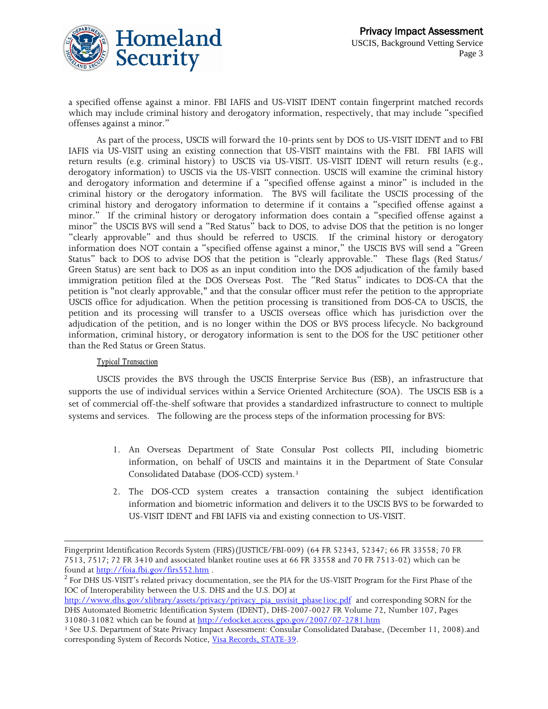

a specified offense against a minor. FBI IAFIS and US-VISIT IDENT contain fingerprint matched records which may include criminal history and derogatory information, respectively, that may include "specified offenses against a minor."

As part of the process, USCIS will forward the 10-prints sent by DOS to US-VISIT IDENT and to FBI IAFIS via US-VISIT using an existing connection that US-VISIT maintains with the FBI. FBI IAFIS will return results (e.g. criminal history) to USCIS via US-VISIT. US-VISIT IDENT will return results (e.g., derogatory information) to USCIS via the US-VISIT connection. USCIS will examine the criminal history and derogatory information and determine if a "specified offense against a minor" is included in the criminal history or the derogatory information. The BVS will facilitate the USCIS processing of the criminal history and derogatory information to determine if it contains a "specified offense against a minor." If the criminal history or derogatory information does contain a "specified offense against a minor" the USCIS BVS will send a "Red Status" back to DOS, to advise DOS that the petition is no longer "clearly approvable" and thus should be referred to USCIS. If the criminal history or derogatory information does NOT contain a "specified offense against a minor," the USCIS BVS will send a "Green Status" back to DOS to advise DOS that the petition is "clearly approvable." These flags (Red Status/ Green Status) are sent back to DOS as an input condition into the DOS adjudication of the family based immigration petition filed at the DOS Overseas Post. The "Red Status" indicates to DOS-CA that the petition is "not clearly approvable," and that the consular officer must refer the petition to the appropriate USCIS office for adjudication. When the petition processing is transitioned from DOS-CA to USCIS, the petition and its processing will transfer to a USCIS overseas office which has jurisdiction over the adjudication of the petition, and is no longer within the DOS or BVS process lifecycle. No background information, criminal history, or derogatory information is sent to the DOS for the USC petitioner other than the Red Status or Green Status.

#### *Typical Transaction*

 $\overline{a}$ 

USCIS provides the BVS through the USCIS Enterprise Service Bus (ESB), an infrastructure that supports the use of individual services within a Service Oriented Architecture (SOA). The USCIS ESB is a set of commercial off-the-shelf software that provides a standardized infrastructure to connect to multiple systems and services. The following are the process steps of the information processing for BVS:

- 1. An Overseas Department of State Consular Post collects PII, including biometric information, on behalf of USCIS and maintains it in the Department of State Consular Consolidated Database (DOS-CCD) system.[3](#page-2-0)
- 2. The DOS-CCD system creates a transaction containing the subject identification information and biometric information and delivers it to the USCIS BVS to be forwarded to US-VISIT IDENT and FBI IAFIS via and existing connection to US-VISIT.

Fingerprint Identification Records System (FIRS)(JUSTICE/FBI-009) (64 FR 52343, 52347; 66 FR 33558; 70 FR 7513, 7517; 72 FR 3410 and associated blanket routine uses at 66 FR 33558 and 70 FR 7513-02) which can be found a[t http://foia.fbi.gov/firs552.htm](http://foia.fbi.gov/firs552.htm) .

<sup>&</sup>lt;sup>2</sup> For DHS US-VISIT's related privacy documentation, see the PIA for the US-VISIT Program for the First Phase of the IOC of Interoperability between the U.S. DHS and the U.S. DOJ at

[http://www.dhs.gov/xlibrary/assets/privacy/privacy\\_pia\\_usvisit\\_phase1ioc.pdf](http://www.dhs.gov/xlibrary/assets/privacy/privacy_pia_usvisit_phase1ioc.pdf) and corresponding SORN for the DHS Automated Biometric Identification System (IDENT), DHS-2007-0027 FR Volume 72, Number 107, Pages 31080-31082 which can be found at<http://edocket.access.gpo.gov/2007/07-2781.htm>

<span id="page-2-0"></span><sup>&</sup>lt;sup>3</sup> See U.S. Department of State Privacy Impact Assessment: Consular Consolidated Database, (December 11, 2008).and corresponding System of Records Notice, [Visa Records, STATE-39.](http://www.state.gov/documents/organization/102815.pdf)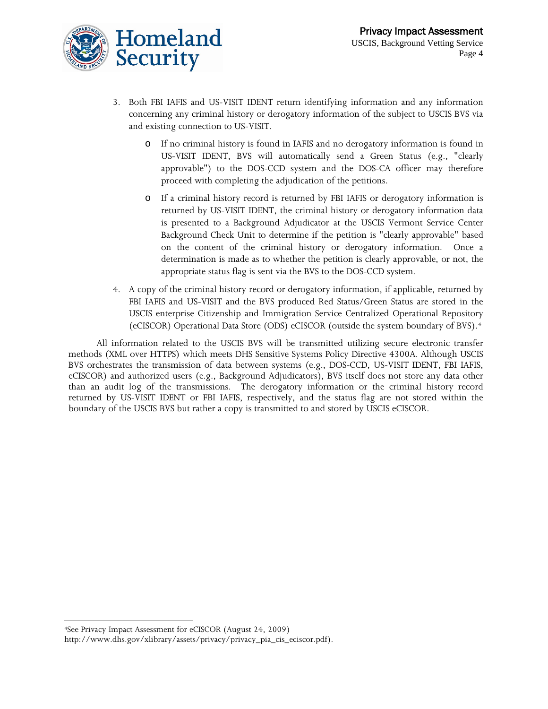

- 3. Both FBI IAFIS and US-VISIT IDENT return identifying information and any information concerning any criminal history or derogatory information of the subject to USCIS BVS via and existing connection to US-VISIT.
	- o If no criminal history is found in IAFIS and no derogatory information is found in US-VISIT IDENT, BVS will automatically send a Green Status (e.g., "clearly approvable") to the DOS-CCD system and the DOS-CA officer may therefore proceed with completing the adjudication of the petitions.
	- o If a criminal history record is returned by FBI IAFIS or derogatory information is returned by US-VISIT IDENT, the criminal history or derogatory information data is presented to a Background Adjudicator at the USCIS Vermont Service Center Background Check Unit to determine if the petition is "clearly approvable" based on the content of the criminal history or derogatory information. Once a determination is made as to whether the petition is clearly approvable, or not, the appropriate status flag is sent via the BVS to the DOS-CCD system.
- 4. A copy of the criminal history record or derogatory information, if applicable, returned by FBI IAFIS and US-VISIT and the BVS produced Red Status/Green Status are stored in the USCIS enterprise Citizenship and Immigration Service Centralized Operational Repository (eCISCOR) Operational Data Store (ODS) eCISCOR (outside the system boundary of BVS).[4](#page-3-0)

All information related to the USCIS BVS will be transmitted utilizing secure electronic transfer methods (XML over HTTPS) which meets DHS Sensitive Systems Policy Directive 4300A. Although USCIS BVS orchestrates the transmission of data between systems (e.g., DOS-CCD, US-VISIT IDENT, FBI IAFIS, eCISCOR) and authorized users (e.g., Background Adjudicators), BVS itself does not store any data other than an audit log of the transmissions. The derogatory information or the criminal history record returned by US-VISIT IDENT or FBI IAFIS, respectively, and the status flag are not stored within the boundary of the USCIS BVS but rather a copy is transmitted to and stored by USCIS eCISCOR.

 $\overline{a}$ 

<span id="page-3-0"></span><sup>4</sup>See Privacy Impact Assessment for eCISCOR (August 24, 2009)

http://www.dhs.gov/xlibrary/assets/privacy/privacy\_pia\_cis\_eciscor.pdf).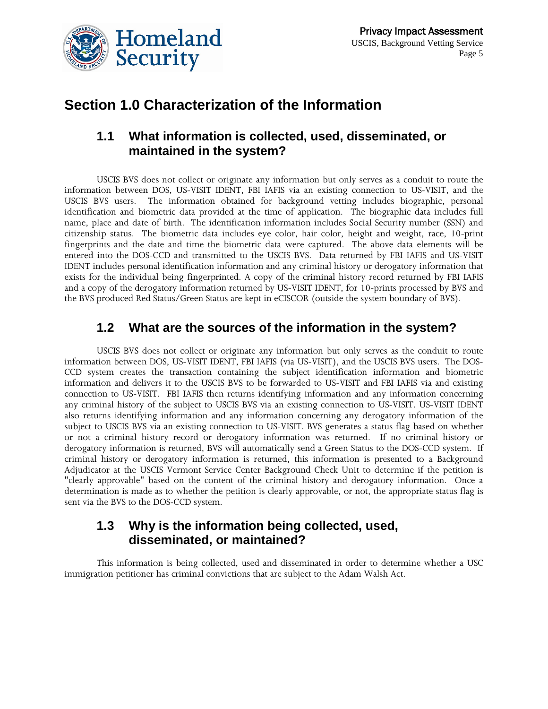

# **Section 1.0 Characterization of the Information**

# **1.1 What information is collected, used, disseminated, or maintained in the system?**

USCIS BVS does not collect or originate any information but only serves as a conduit to route the information between DOS, US-VISIT IDENT, FBI IAFIS via an existing connection to US-VISIT, and the USCIS BVS users. The information obtained for background vetting includes biographic, personal identification and biometric data provided at the time of application. The biographic data includes full name, place and date of birth. The identification information includes Social Security number (SSN) and citizenship status. The biometric data includes eye color, hair color, height and weight, race, 10-print fingerprints and the date and time the biometric data were captured. The above data elements will be entered into the DOS-CCD and transmitted to the USCIS BVS. Data returned by FBI IAFIS and US-VISIT IDENT includes personal identification information and any criminal history or derogatory information that exists for the individual being fingerprinted. A copy of the criminal history record returned by FBI IAFIS and a copy of the derogatory information returned by US-VISIT IDENT, for 10-prints processed by BVS and the BVS produced Red Status/Green Status are kept in eCISCOR (outside the system boundary of BVS).

### **1.2 What are the sources of the information in the system?**

USCIS BVS does not collect or originate any information but only serves as the conduit to route information between DOS, US-VISIT IDENT, FBI IAFIS (via US-VISIT), and the USCIS BVS users. The DOS-CCD system creates the transaction containing the subject identification information and biometric information and delivers it to the USCIS BVS to be forwarded to US-VISIT and FBI IAFIS via and existing connection to US-VISIT. FBI IAFIS then returns identifying information and any information concerning any criminal history of the subject to USCIS BVS via an existing connection to US-VISIT. US-VISIT IDENT also returns identifying information and any information concerning any derogatory information of the subject to USCIS BVS via an existing connection to US-VISIT. BVS generates a status flag based on whether or not a criminal history record or derogatory information was returned. If no criminal history or derogatory information is returned, BVS will automatically send a Green Status to the DOS-CCD system. If criminal history or derogatory information is returned, this information is presented to a Background Adjudicator at the USCIS Vermont Service Center Background Check Unit to determine if the petition is "clearly approvable" based on the content of the criminal history and derogatory information. Once a determination is made as to whether the petition is clearly approvable, or not, the appropriate status flag is sent via the BVS to the DOS-CCD system.

# **1.3 Why is the information being collected, used, disseminated, or maintained?**

This information is being collected, used and disseminated in order to determine whether a USC immigration petitioner has criminal convictions that are subject to the Adam Walsh Act.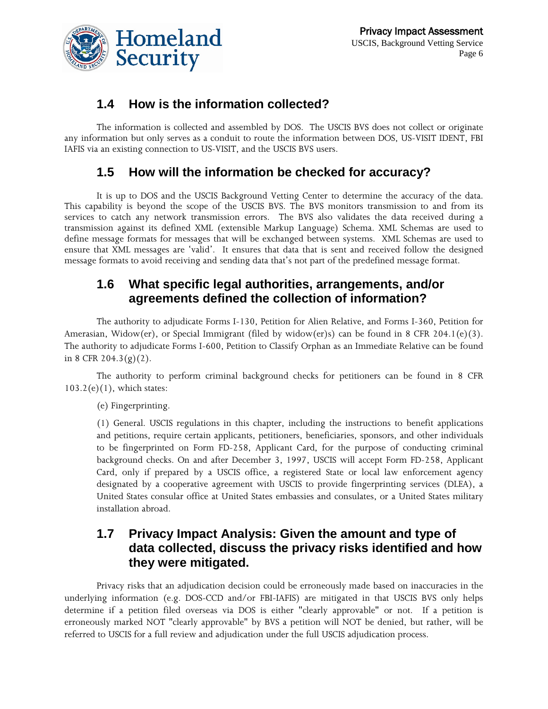

# **1.4 How is the information collected?**

The information is collected and assembled by DOS. The USCIS BVS does not collect or originate any information but only serves as a conduit to route the information between DOS, US-VISIT IDENT, FBI IAFIS via an existing connection to US-VISIT, and the USCIS BVS users.

# **1.5 How will the information be checked for accuracy?**

It is up to DOS and the USCIS Background Vetting Center to determine the accuracy of the data. This capability is beyond the scope of the USCIS BVS. The BVS monitors transmission to and from its services to catch any network transmission errors. The BVS also validates the data received during a transmission against its defined XML (extensible Markup Language) Schema. XML Schemas are used to define message formats for messages that will be exchanged between systems. XML Schemas are used to ensure that XML messages are 'valid'. It ensures that data that is sent and received follow the designed message formats to avoid receiving and sending data that's not part of the predefined message format.

# **1.6 What specific legal authorities, arrangements, and/or agreements defined the collection of information?**

The authority to adjudicate Forms I-130, Petition for Alien Relative, and Forms I-360, Petition for Amerasian, Widow(er), or Special Immigrant (filed by widow(er)s) can be found in 8 CFR 204.1(e)(3). The authority to adjudicate Forms I-600, Petition to Classify Orphan as an Immediate Relative can be found in 8 CFR 204.3(g)(2).

The authority to perform criminal background checks for petitioners can be found in 8 CFR  $103.2(e)(1)$ , which states:

(e) Fingerprinting.

(1) General. USCIS regulations in this chapter, including the instructions to benefit applications and petitions, require certain applicants, petitioners, beneficiaries, sponsors, and other individuals to be fingerprinted on Form FD-258, Applicant Card, for the purpose of conducting criminal background checks. On and after December 3, 1997, USCIS will accept Form FD-258, Applicant Card, only if prepared by a USCIS office, a registered State or local law enforcement agency designated by a cooperative agreement with USCIS to provide fingerprinting services (DLEA), a United States consular office at United States embassies and consulates, or a United States military installation abroad.

# **1.7 Privacy Impact Analysis: Given the amount and type of data collected, discuss the privacy risks identified and how they were mitigated.**

Privacy risks that an adjudication decision could be erroneously made based on inaccuracies in the underlying information (e.g. DOS-CCD and/or FBI-IAFIS) are mitigated in that USCIS BVS only helps determine if a petition filed overseas via DOS is either "clearly approvable" or not. If a petition is erroneously marked NOT "clearly approvable" by BVS a petition will NOT be denied, but rather, will be referred to USCIS for a full review and adjudication under the full USCIS adjudication process.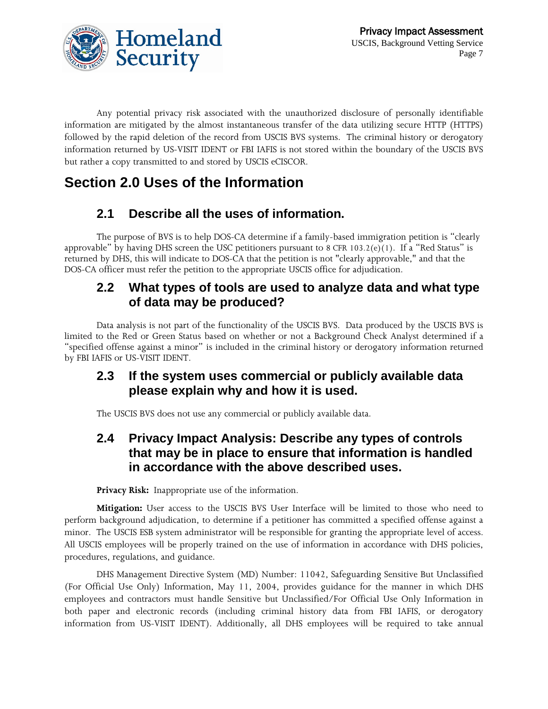



Any potential privacy risk associated with the unauthorized disclosure of personally identifiable information are mitigated by the almost instantaneous transfer of the data utilizing secure HTTP (HTTPS) followed by the rapid deletion of the record from USCIS BVS systems. The criminal history or derogatory information returned by US-VISIT IDENT or FBI IAFIS is not stored within the boundary of the USCIS BVS but rather a copy transmitted to and stored by USCIS eCISCOR.

# **Section 2.0 Uses of the Information**

# **2.1 Describe all the uses of information.**

The purpose of BVS is to help DOS-CA determine if a family-based immigration petition is "clearly approvable" by having DHS screen the USC petitioners pursuant to 8 CFR 103.2(e)(1). If a "Red Status" is returned by DHS, this will indicate to DOS-CA that the petition is not "clearly approvable," and that the DOS-CA officer must refer the petition to the appropriate USCIS office for adjudication.

# **2.2 What types of tools are used to analyze data and what type of data may be produced?**

Data analysis is not part of the functionality of the USCIS BVS. Data produced by the USCIS BVS is limited to the Red or Green Status based on whether or not a Background Check Analyst determined if a "specified offense against a minor" is included in the criminal history or derogatory information returned by FBI IAFIS or US-VISIT IDENT.

# **2.3 If the system uses commercial or publicly available data please explain why and how it is used.**

The USCIS BVS does not use any commercial or publicly available data.

# **2.4 Privacy Impact Analysis: Describe any types of controls that may be in place to ensure that information is handled in accordance with the above described uses.**

**Privacy Risk:** Inappropriate use of the information.

**Mitigation:** User access to the USCIS BVS User Interface will be limited to those who need to perform background adjudication, to determine if a petitioner has committed a specified offense against a minor. The USCIS ESB system administrator will be responsible for granting the appropriate level of access. All USCIS employees will be properly trained on the use of information in accordance with DHS policies, procedures, regulations, and guidance.

DHS Management Directive System (MD) Number: 11042, Safeguarding Sensitive But Unclassified (For Official Use Only) Information, May 11, 2004, provides guidance for the manner in which DHS employees and contractors must handle Sensitive but Unclassified/For Official Use Only Information in both paper and electronic records (including criminal history data from FBI IAFIS, or derogatory information from US-VISIT IDENT). Additionally, all DHS employees will be required to take annual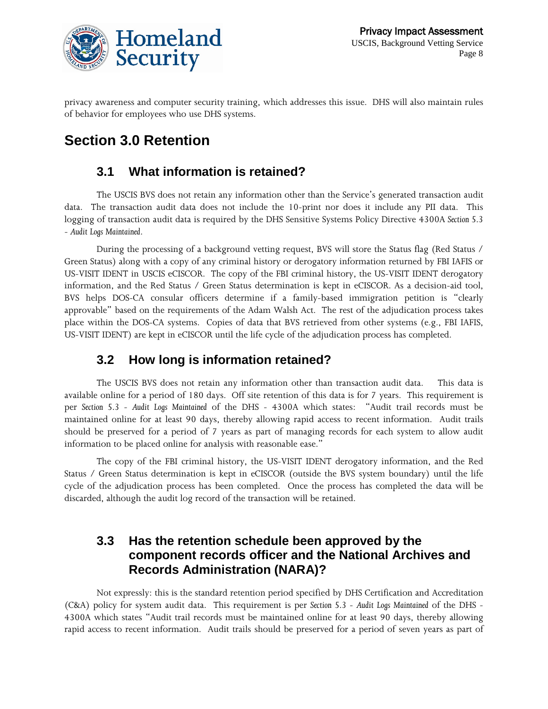

privacy awareness and computer security training, which addresses this issue. DHS will also maintain rules of behavior for employees who use DHS systems.

# **Section 3.0 Retention**

# **3.1 What information is retained?**

The USCIS BVS does not retain any information other than the Service's generated transaction audit data. The transaction audit data does not include the 10-print nor does it include any PII data. This logging of transaction audit data is required by the DHS Sensitive Systems Policy Directive 4300A *Section 5.3 - Audit Logs Maintained*.

During the processing of a background vetting request, BVS will store the Status flag (Red Status / Green Status) along with a copy of any criminal history or derogatory information returned by FBI IAFIS or US-VISIT IDENT in USCIS eCISCOR. The copy of the FBI criminal history, the US-VISIT IDENT derogatory information, and the Red Status / Green Status determination is kept in eCISCOR. As a decision-aid tool, BVS helps DOS-CA consular officers determine if a family-based immigration petition is "clearly approvable" based on the requirements of the Adam Walsh Act. The rest of the adjudication process takes place within the DOS-CA systems. Copies of data that BVS retrieved from other systems (e.g., FBI IAFIS, US-VISIT IDENT) are kept in eCISCOR until the life cycle of the adjudication process has completed.

# **3.2 How long is information retained?**

The USCIS BVS does not retain any information other than transaction audit data. This data is available online for a period of 180 days. Off site retention of this data is for 7 years. This requirement is per *Section 5.3 - Audit Logs Maintained* of the DHS - 4300A which states: "Audit trail records must be maintained online for at least 90 days, thereby allowing rapid access to recent information. Audit trails should be preserved for a period of 7 years as part of managing records for each system to allow audit information to be placed online for analysis with reasonable ease."

The copy of the FBI criminal history, the US-VISIT IDENT derogatory information, and the Red Status / Green Status determination is kept in eCISCOR (outside the BVS system boundary) until the life cycle of the adjudication process has been completed. Once the process has completed the data will be discarded, although the audit log record of the transaction will be retained.

# **3.3 Has the retention schedule been approved by the component records officer and the National Archives and Records Administration (NARA)?**

Not expressly: this is the standard retention period specified by DHS Certification and Accreditation (C&A) policy for system audit data. This requirement is per *Section 5.3 - Audit Logs Maintained* of the DHS - 4300A which states "Audit trail records must be maintained online for at least 90 days, thereby allowing rapid access to recent information. Audit trails should be preserved for a period of seven years as part of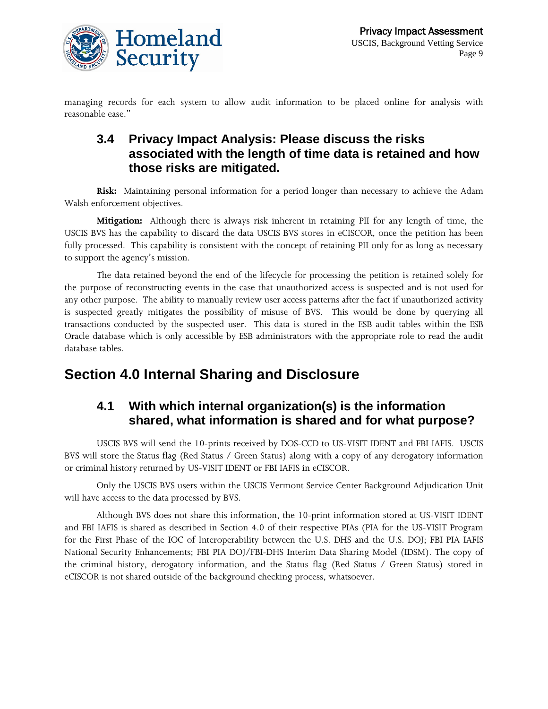

managing records for each system to allow audit information to be placed online for analysis with reasonable ease."

# **3.4 Privacy Impact Analysis: Please discuss the risks associated with the length of time data is retained and how those risks are mitigated.**

**Risk:** Maintaining personal information for a period longer than necessary to achieve the Adam Walsh enforcement objectives.

**Mitigation:** Although there is always risk inherent in retaining PII for any length of time, the USCIS BVS has the capability to discard the data USCIS BVS stores in eCISCOR, once the petition has been fully processed. This capability is consistent with the concept of retaining PII only for as long as necessary to support the agency's mission.

The data retained beyond the end of the lifecycle for processing the petition is retained solely for the purpose of reconstructing events in the case that unauthorized access is suspected and is not used for any other purpose. The ability to manually review user access patterns after the fact if unauthorized activity is suspected greatly mitigates the possibility of misuse of BVS. This would be done by querying all transactions conducted by the suspected user. This data is stored in the ESB audit tables within the ESB Oracle database which is only accessible by ESB administrators with the appropriate role to read the audit database tables.

# **Section 4.0 Internal Sharing and Disclosure**

# **4.1 With which internal organization(s) is the information shared, what information is shared and for what purpose?**

USCIS BVS will send the 10-prints received by DOS-CCD to US-VISIT IDENT and FBI IAFIS. USCIS BVS will store the Status flag (Red Status / Green Status) along with a copy of any derogatory information or criminal history returned by US-VISIT IDENT or FBI IAFIS in eCISCOR.

Only the USCIS BVS users within the USCIS Vermont Service Center Background Adjudication Unit will have access to the data processed by BVS.

Although BVS does not share this information, the 10-print information stored at US-VISIT IDENT and FBI IAFIS is shared as described in Section 4.0 of their respective PIAs (PIA for the US-VISIT Program for the First Phase of the IOC of Interoperability between the U.S. DHS and the U.S. DOJ; FBI PIA IAFIS National Security Enhancements; FBI PIA DOJ/FBI-DHS Interim Data Sharing Model (IDSM). The copy of the criminal history, derogatory information, and the Status flag (Red Status / Green Status) stored in eCISCOR is not shared outside of the background checking process, whatsoever.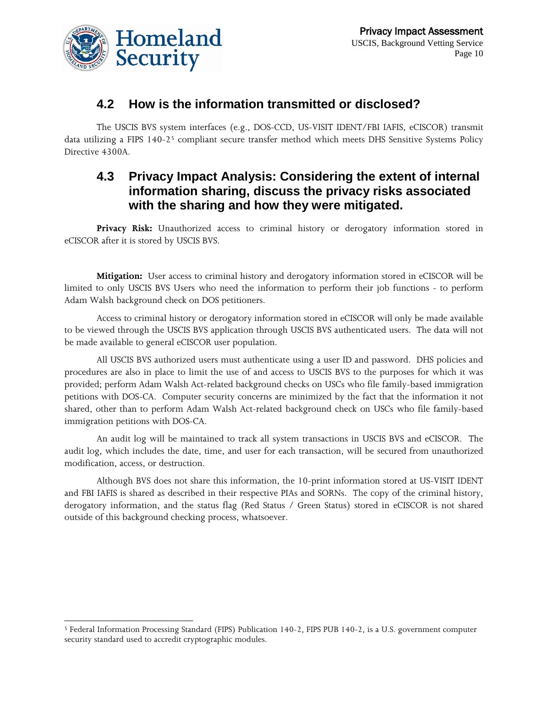

 $\overline{a}$ 

# **4.2 How is the information transmitted or disclosed?**

The USCIS BVS system interfaces (e.g., DOS-CCD, US-VISIT IDENT/FBI IAFIS, eCISCOR) transmit data utilizing a FIPS 140-2<sup>[5](#page-9-0)</sup> compliant secure transfer method which meets DHS Sensitive Systems Policy Directive 4300A.

# **4.3 Privacy Impact Analysis: Considering the extent of internal information sharing, discuss the privacy risks associated with the sharing and how they were mitigated.**

**Privacy Risk:** Unauthorized access to criminal history or derogatory information stored in eCISCOR after it is stored by USCIS BVS.

**Mitigation:** User access to criminal history and derogatory information stored in eCISCOR will be limited to only USCIS BVS Users who need the information to perform their job functions - to perform Adam Walsh background check on DOS petitioners.

Access to criminal history or derogatory information stored in eCISCOR will only be made available to be viewed through the USCIS BVS application through USCIS BVS authenticated users. The data will not be made available to general eCISCOR user population.

All USCIS BVS authorized users must authenticate using a user ID and password. DHS policies and procedures are also in place to limit the use of and access to USCIS BVS to the purposes for which it was provided; perform Adam Walsh Act-related background checks on USCs who file family-based immigration petitions with DOS-CA. Computer security concerns are minimized by the fact that the information it not shared, other than to perform Adam Walsh Act-related background check on USCs who file family-based immigration petitions with DOS-CA.

An audit log will be maintained to track all system transactions in USCIS BVS and eCISCOR. The audit log, which includes the date, time, and user for each transaction, will be secured from unauthorized modification, access, or destruction.

Although BVS does not share this information, the 10-print information stored at US-VISIT IDENT and FBI IAFIS is shared as described in their respective PIAs and SORNs. The copy of the criminal history, derogatory information, and the status flag (Red Status / Green Status) stored in eCISCOR is not shared outside of this background checking process, whatsoever.

<span id="page-9-0"></span><sup>5</sup> Federal Information Processing Standard (FIPS) Publication 140-2, FIPS PUB 140-2, is a U.S. government computer security standard used to accredit cryptographic modules.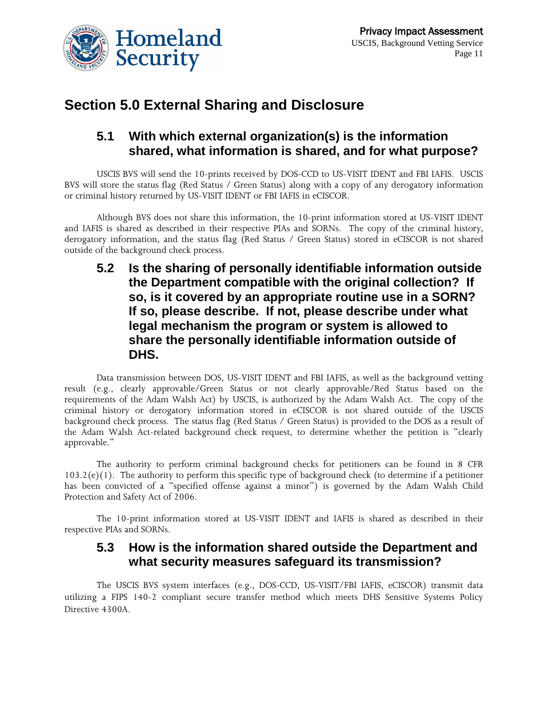



# **Section 5.0 External Sharing and Disclosure**

# **5.1 With which external organization(s) is the information shared, what information is shared, and for what purpose?**

USCIS BVS will send the 10-prints received by DOS-CCD to US-VISIT IDENT and FBI IAFIS. USCIS BVS will store the status flag (Red Status / Green Status) along with a copy of any derogatory information or criminal history returned by US-VISIT IDENT or FBI IAFIS in eCISCOR.

Although BVS does not share this information, the 10-print information stored at US-VISIT IDENT and IAFIS is shared as described in their respective PIAs and SORNs. The copy of the criminal history, derogatory information, and the status flag (Red Status / Green Status) stored in eCISCOR is not shared outside of the background check process.

# **5.2 Is the sharing of personally identifiable information outside the Department compatible with the original collection? If so, is it covered by an appropriate routine use in a SORN? If so, please describe. If not, please describe under what legal mechanism the program or system is allowed to share the personally identifiable information outside of DHS.**

Data transmission between DOS, US-VISIT IDENT and FBI IAFIS, as well as the background vetting result (e.g., clearly approvable/Green Status or not clearly approvable/Red Status based on the requirements of the Adam Walsh Act) by USCIS, is authorized by the Adam Walsh Act. The copy of the criminal history or derogatory information stored in eCISCOR is not shared outside of the USCIS background check process. The status flag (Red Status / Green Status) is provided to the DOS as a result of the Adam Walsh Act-related background check request, to determine whether the petition is "clearly approvable."

The authority to perform criminal background checks for petitioners can be found in 8 CFR 103.2(e)(1). The authority to perform this specific type of background check (to determine if a petitioner has been convicted of a "specified offense against a minor") is governed by the Adam Walsh Child Protection and Safety Act of 2006.

The 10-print information stored at US-VISIT IDENT and IAFIS is shared as described in their respective PIAs and SORNs.

### **5.3 How is the information shared outside the Department and what security measures safeguard its transmission?**

The USCIS BVS system interfaces (e.g., DOS-CCD, US-VISIT/FBI IAFIS, eCISCOR) transmit data utilizing a FIPS 140-2 compliant secure transfer method which meets DHS Sensitive Systems Policy Directive 4300A.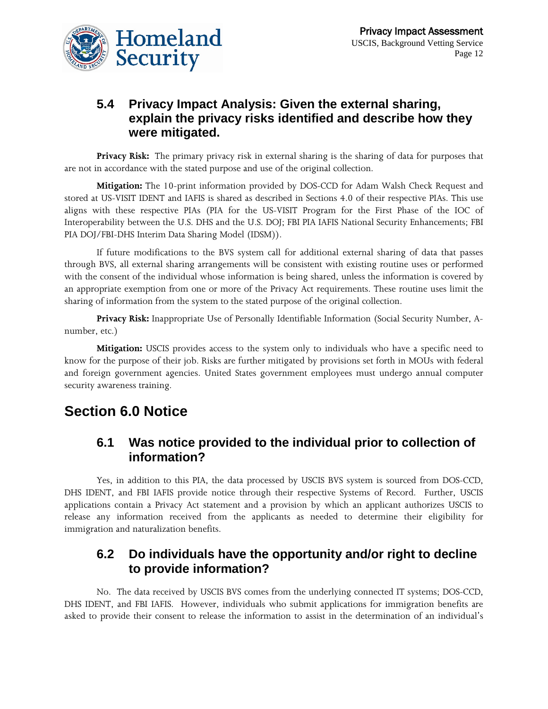

# **5.4 Privacy Impact Analysis: Given the external sharing, explain the privacy risks identified and describe how they were mitigated.**

**Privacy Risk:** The primary privacy risk in external sharing is the sharing of data for purposes that are not in accordance with the stated purpose and use of the original collection.

**Mitigation:** The 10-print information provided by DOS-CCD for Adam Walsh Check Request and stored at US-VISIT IDENT and IAFIS is shared as described in Sections 4.0 of their respective PIAs. This use aligns with these respective PIAs (PIA for the US-VISIT Program for the First Phase of the IOC of Interoperability between the U.S. DHS and the U.S. DOJ; FBI PIA IAFIS National Security Enhancements; FBI PIA DOJ/FBI-DHS Interim Data Sharing Model (IDSM)).

If future modifications to the BVS system call for additional external sharing of data that passes through BVS, all external sharing arrangements will be consistent with existing routine uses or performed with the consent of the individual whose information is being shared, unless the information is covered by an appropriate exemption from one or more of the Privacy Act requirements. These routine uses limit the sharing of information from the system to the stated purpose of the original collection.

**Privacy Risk:** Inappropriate Use of Personally Identifiable Information (Social Security Number, Anumber, etc.)

**Mitigation:** USCIS provides access to the system only to individuals who have a specific need to know for the purpose of their job. Risks are further mitigated by provisions set forth in MOUs with federal and foreign government agencies. United States government employees must undergo annual computer security awareness training.

# **Section 6.0 Notice**

### **6.1 Was notice provided to the individual prior to collection of information?**

Yes, in addition to this PIA, the data processed by USCIS BVS system is sourced from DOS-CCD, DHS IDENT, and FBI IAFIS provide notice through their respective Systems of Record. Further, USCIS applications contain a Privacy Act statement and a provision by which an applicant authorizes USCIS to release any information received from the applicants as needed to determine their eligibility for immigration and naturalization benefits.

### **6.2 Do individuals have the opportunity and/or right to decline to provide information?**

No. The data received by USCIS BVS comes from the underlying connected IT systems; DOS-CCD, DHS IDENT, and FBI IAFIS. However, individuals who submit applications for immigration benefits are asked to provide their consent to release the information to assist in the determination of an individual's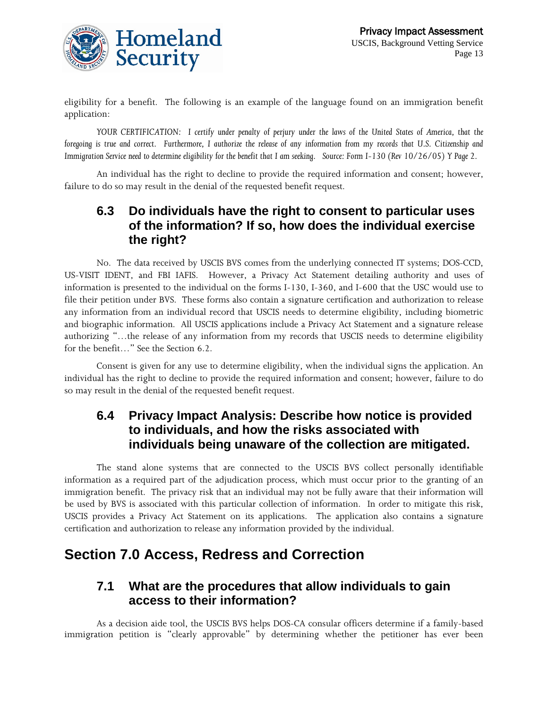

eligibility for a benefit. The following is an example of the language found on an immigration benefit application:

*YOUR CERTIFICATION: I certify under penalty of perjury under the laws of the United States of America, that the foregoing is true and correct. Furthermore, I authorize the release of any information from my records that U.S. Citizenship and Immigration Service need to determine eligibility for the benefit that I am seeking. Source: Form I-130 (Rev 10/26/05) Y Page 2.*

An individual has the right to decline to provide the required information and consent; however, failure to do so may result in the denial of the requested benefit request.

# **6.3 Do individuals have the right to consent to particular uses of the information? If so, how does the individual exercise the right?**

No. The data received by USCIS BVS comes from the underlying connected IT systems; DOS-CCD, US-VISIT IDENT, and FBI IAFIS. However, a Privacy Act Statement detailing authority and uses of information is presented to the individual on the forms I-130, I-360, and I-600 that the USC would use to file their petition under BVS. These forms also contain a signature certification and authorization to release any information from an individual record that USCIS needs to determine eligibility, including biometric and biographic information. All USCIS applications include a Privacy Act Statement and a signature release authorizing "…the release of any information from my records that USCIS needs to determine eligibility for the benefit…" See the Section 6.2.

Consent is given for any use to determine eligibility, when the individual signs the application. An individual has the right to decline to provide the required information and consent; however, failure to do so may result in the denial of the requested benefit request.

# **6.4 Privacy Impact Analysis: Describe how notice is provided to individuals, and how the risks associated with individuals being unaware of the collection are mitigated.**

The stand alone systems that are connected to the USCIS BVS collect personally identifiable information as a required part of the adjudication process, which must occur prior to the granting of an immigration benefit. The privacy risk that an individual may not be fully aware that their information will be used by BVS is associated with this particular collection of information. In order to mitigate this risk, USCIS provides a Privacy Act Statement on its applications. The application also contains a signature certification and authorization to release any information provided by the individual.

# **Section 7.0 Access, Redress and Correction**

### **7.1 What are the procedures that allow individuals to gain access to their information?**

As a decision aide tool, the USCIS BVS helps DOS-CA consular officers determine if a family-based immigration petition is "clearly approvable" by determining whether the petitioner has ever been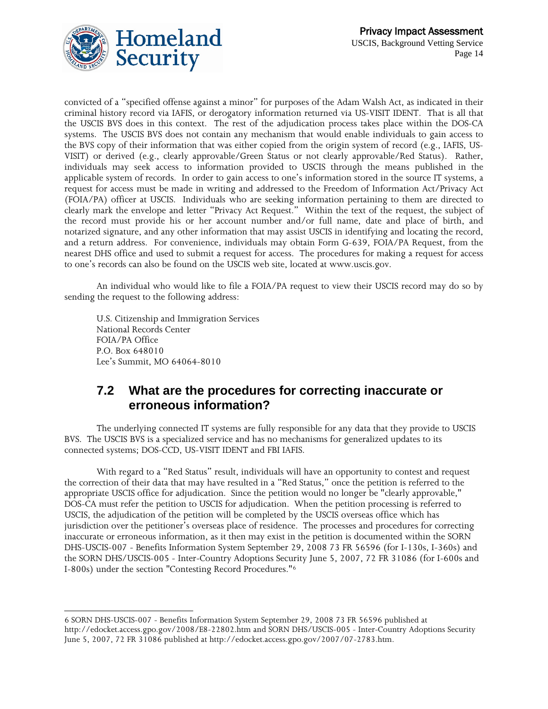

convicted of a "specified offense against a minor" for purposes of the Adam Walsh Act, as indicated in their criminal history record via IAFIS, or derogatory information returned via US-VISIT IDENT. That is all that the USCIS BVS does in this context. The rest of the adjudication process takes place within the DOS-CA systems. The USCIS BVS does not contain any mechanism that would enable individuals to gain access to the BVS copy of their information that was either copied from the origin system of record (e.g., IAFIS, US-VISIT) or derived (e.g., clearly approvable/Green Status or not clearly approvable/Red Status). Rather, individuals may seek access to information provided to USCIS through the means published in the applicable system of records. In order to gain access to one's information stored in the source IT systems, a request for access must be made in writing and addressed to the Freedom of Information Act/Privacy Act (FOIA/PA) officer at USCIS. Individuals who are seeking information pertaining to them are directed to clearly mark the envelope and letter "Privacy Act Request." Within the text of the request, the subject of the record must provide his or her account number and/or full name, date and place of birth, and notarized signature, and any other information that may assist USCIS in identifying and locating the record, and a return address. For convenience, individuals may obtain Form G-639, FOIA/PA Request, from the nearest DHS office and used to submit a request for access. The procedures for making a request for access to one's records can also be found on the USCIS web site, located at www.uscis.gov.

An individual who would like to file a FOIA/PA request to view their USCIS record may do so by sending the request to the following address:

U.S. Citizenship and Immigration Services National Records Center FOIA/PA Office P.O. Box 648010 Lee's Summit, MO 64064-8010

 $\overline{a}$ 

# **7.2 What are the procedures for correcting inaccurate or erroneous information?**

The underlying connected IT systems are fully responsible for any data that they provide to USCIS BVS. The USCIS BVS is a specialized service and has no mechanisms for generalized updates to its connected systems; DOS-CCD, US-VISIT IDENT and FBI IAFIS.

With regard to a "Red Status" result, individuals will have an opportunity to contest and request the correction of their data that may have resulted in a "Red Status," once the petition is referred to the appropriate USCIS office for adjudication. Since the petition would no longer be "clearly approvable," DOS-CA must refer the petition to USCIS for adjudication. When the petition processing is referred to USCIS, the adjudication of the petition will be completed by the USCIS overseas office which has jurisdiction over the petitioner's overseas place of residence. The processes and procedures for correcting inaccurate or erroneous information, as it then may exist in the petition is documented within the SORN DHS-USCIS-007 - Benefits Information System September 29, 2008 73 FR 56596 (for I-130s, I-360s) and the SORN DHS/USCIS-005 - Inter-Country Adoptions Security June 5, 2007, 72 FR 31086 (for I-600s and I-800s) under the section "Contesting Record Procedures."[6](#page-13-0)

<span id="page-13-0"></span><sup>6</sup> SORN DHS-USCIS-007 - Benefits Information System September 29, 2008 73 FR 56596 published at <http://edocket.access.gpo.gov/2008/E8-22802.htm> and SORN DHS/USCIS-005 - Inter-Country Adoptions Security June 5, 2007, 72 FR 31086 published at http://edocket.access.gpo.gov/2007/07-2783.htm.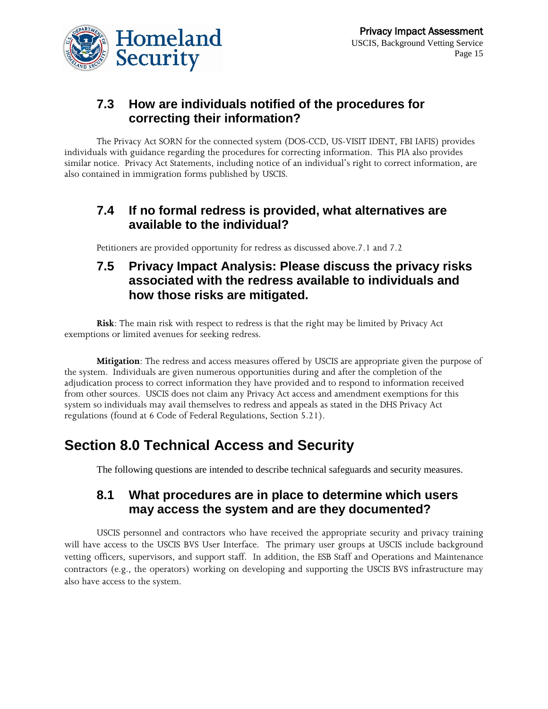

# **7.3 How are individuals notified of the procedures for correcting their information?**

The Privacy Act SORN for the connected system (DOS-CCD, US-VISIT IDENT, FBI IAFIS) provides individuals with guidance regarding the procedures for correcting information. This PIA also provides similar notice. Privacy Act Statements, including notice of an individual's right to correct information, are also contained in immigration forms published by USCIS.

# **7.4 If no formal redress is provided, what alternatives are available to the individual?**

Petitioners are provided opportunity for redress as discussed above.7.1 and 7.2

# **7.5 Privacy Impact Analysis: Please discuss the privacy risks associated with the redress available to individuals and how those risks are mitigated.**

**Risk**: The main risk with respect to redress is that the right may be limited by Privacy Act exemptions or limited avenues for seeking redress.

**Mitigation**: The redress and access measures offered by USCIS are appropriate given the purpose of the system. Individuals are given numerous opportunities during and after the completion of the adjudication process to correct information they have provided and to respond to information received from other sources. USCIS does not claim any Privacy Act access and amendment exemptions for this system so individuals may avail themselves to redress and appeals as stated in the DHS Privacy Act regulations (found at 6 Code of Federal Regulations, Section 5.21).

# **Section 8.0 Technical Access and Security**

The following questions are intended to describe technical safeguards and security measures.

### **8.1 What procedures are in place to determine which users may access the system and are they documented?**

USCIS personnel and contractors who have received the appropriate security and privacy training will have access to the USCIS BVS User Interface. The primary user groups at USCIS include background vetting officers, supervisors, and support staff. In addition, the ESB Staff and Operations and Maintenance contractors (e.g., the operators) working on developing and supporting the USCIS BVS infrastructure may also have access to the system.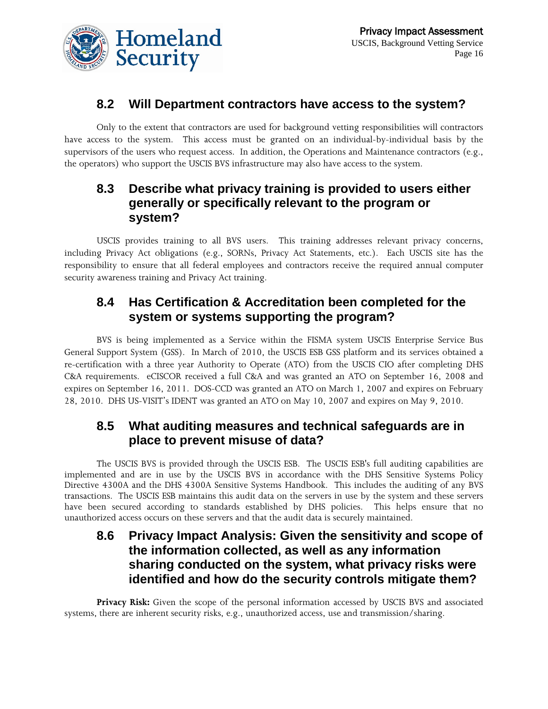

# **8.2 Will Department contractors have access to the system?**

Only to the extent that contractors are used for background vetting responsibilities will contractors have access to the system. This access must be granted on an individual-by-individual basis by the supervisors of the users who request access. In addition, the Operations and Maintenance contractors (e.g., the operators) who support the USCIS BVS infrastructure may also have access to the system.

# **8.3 Describe what privacy training is provided to users either generally or specifically relevant to the program or system?**

USCIS provides training to all BVS users. This training addresses relevant privacy concerns, including Privacy Act obligations (e.g., SORNs, Privacy Act Statements, etc.). Each USCIS site has the responsibility to ensure that all federal employees and contractors receive the required annual computer security awareness training and Privacy Act training.

# **8.4 Has Certification & Accreditation been completed for the system or systems supporting the program?**

BVS is being implemented as a Service within the FISMA system USCIS Enterprise Service Bus General Support System (GSS). In March of 2010, the USCIS ESB GSS platform and its services obtained a re-certification with a three year Authority to Operate (ATO) from the USCIS CIO after completing DHS C&A requirements. eCISCOR received a full C&A and was granted an ATO on September 16, 2008 and expires on September 16, 2011. DOS-CCD was granted an ATO on March 1, 2007 and expires on February 28, 2010. DHS US-VISIT's IDENT was granted an ATO on May 10, 2007 and expires on May 9, 2010.

### **8.5 What auditing measures and technical safeguards are in place to prevent misuse of data?**

The USCIS BVS is provided through the USCIS ESB. The USCIS ESB's full auditing capabilities are implemented and are in use by the USCIS BVS in accordance with the DHS Sensitive Systems Policy Directive 4300A and the DHS 4300A Sensitive Systems Handbook. This includes the auditing of any BVS transactions. The USCIS ESB maintains this audit data on the servers in use by the system and these servers have been secured according to standards established by DHS policies. This helps ensure that no unauthorized access occurs on these servers and that the audit data is securely maintained.

# **8.6 Privacy Impact Analysis: Given the sensitivity and scope of the information collected, as well as any information sharing conducted on the system, what privacy risks were identified and how do the security controls mitigate them?**

**Privacy Risk:** Given the scope of the personal information accessed by USCIS BVS and associated systems, there are inherent security risks, e.g., unauthorized access, use and transmission/sharing.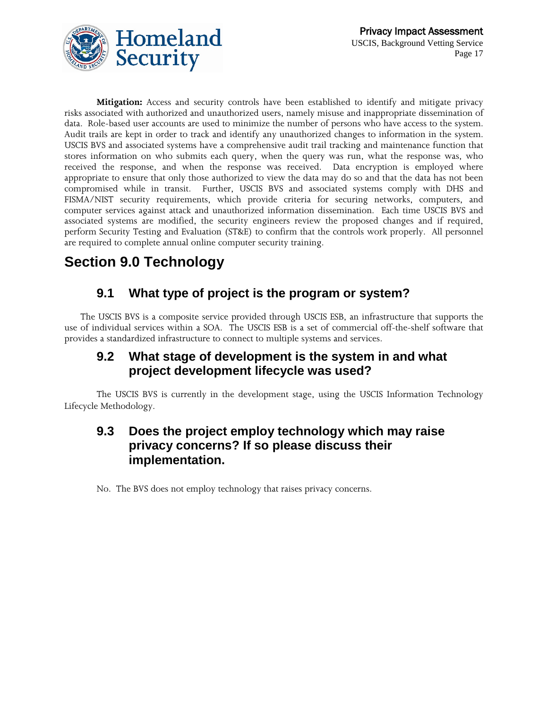

**Mitigation:** Access and security controls have been established to identify and mitigate privacy risks associated with authorized and unauthorized users, namely misuse and inappropriate dissemination of data. Role-based user accounts are used to minimize the number of persons who have access to the system. Audit trails are kept in order to track and identify any unauthorized changes to information in the system. USCIS BVS and associated systems have a comprehensive audit trail tracking and maintenance function that stores information on who submits each query, when the query was run, what the response was, who received the response, and when the response was received. Data encryption is employed where appropriate to ensure that only those authorized to view the data may do so and that the data has not been compromised while in transit. Further, USCIS BVS and associated systems comply with DHS and FISMA/NIST security requirements, which provide criteria for securing networks, computers, and computer services against attack and unauthorized information dissemination. Each time USCIS BVS and associated systems are modified, the security engineers review the proposed changes and if required, perform Security Testing and Evaluation (ST&E) to confirm that the controls work properly. All personnel are required to complete annual online computer security training.

# **Section 9.0 Technology**

# **9.1 What type of project is the program or system?**

The USCIS BVS is a composite service provided through USCIS ESB, an infrastructure that supports the use of individual services within a SOA. The USCIS ESB is a set of commercial off-the-shelf software that provides a standardized infrastructure to connect to multiple systems and services.

# **9.2 What stage of development is the system in and what project development lifecycle was used?**

The USCIS BVS is currently in the development stage, using the USCIS Information Technology Lifecycle Methodology.

# **9.3 Does the project employ technology which may raise privacy concerns? If so please discuss their implementation.**

No. The BVS does not employ technology that raises privacy concerns.